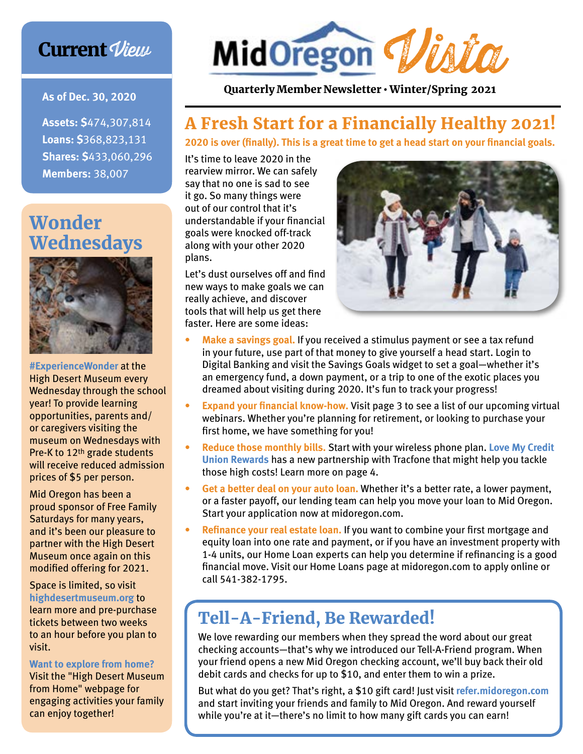## **Current View**

**As of Dec. 30, 2020**

**Assets: \$**474,307,814 **Loans: \$**368,823,131 **Shares: \$**433,060,296 **Members:** 38,007

## Wonder **Wednesdays**



**#ExperienceWonder** at the High Desert Museum every Wednesday through the school year! To provide learning opportunities, parents and/ or caregivers visiting the museum on Wednesdays with Pre-K to 12th grade students will receive reduced admission prices of \$5 per person.

Mid Oregon has been a proud sponsor of Free Family Saturdays for many years, and it's been our pleasure to partner with the High Desert Museum once again on this modified offering for 2021.

Space is limited, so visit **highdesertmuseum.org** to learn more and pre-purchase tickets between two weeks to an hour before you plan to visit.

#### **Want to explore from home?**

Visit the "High Desert Museum from Home" webpage for engaging activities your family can enjoy together!



Quarterly Member Newsletter • Winter/Spring 2021

## A Fresh Start for a Financially Healthy 2021!

**2020 is over (finally). This is a great time to get a head start on your financial goals.**

It's time to leave 2020 in the rearview mirror. We can safely say that no one is sad to see it go. So many things were out of our control that it's understandable if your financial goals were knocked off-track along with your other 2020 plans.

Let's dust ourselves off and find new ways to make goals we can really achieve, and discover tools that will help us get there faster. Here are some ideas:



- **• Make a savings goal.** If you received a stimulus payment or see a tax refund in your future, use part of that money to give yourself a head start. Login to Digital Banking and visit the Savings Goals widget to set a goal—whether it's an emergency fund, a down payment, or a trip to one of the exotic places you dreamed about visiting during 2020. It's fun to track your progress!
- **• Expand your financial know-how.** Visit page 3 to see a list of our upcoming virtual webinars. Whether you're planning for retirement, or looking to purchase your first home, we have something for you!
- **• Reduce those monthly bills.** Start with your wireless phone plan. **Love My Credit Union Rewards** has a new partnership with Tracfone that might help you tackle those high costs! Learn more on page 4.
- **• Get a better deal on your auto loan.** Whether it's a better rate, a lower payment, or a faster payoff, our lending team can help you move your loan to Mid Oregon. Start your application now at midoregon.com.
- **• Refinance your real estate loan.** If you want to combine your first mortgage and equity loan into one rate and payment, or if you have an investment property with 1-4 units, our Home Loan experts can help you determine if refinancing is a good financial move. Visit our Home Loans page at midoregon.com to apply online or call 541-382-1795.

# Tell-A-Friend, Be Rewarded!

We love rewarding our members when they spread the word about our great checking accounts—that's why we introduced our Tell-A-Friend program. When your friend opens a new Mid Oregon checking account, we'll buy back their old debit cards and checks for up to \$10, and enter them to win a prize.

But what do you get? That's right, a \$10 gift card! Just visit **refer.midoregon.com** and start inviting your friends and family to Mid Oregon. And reward yourself while you're at it—there's no limit to how many gift cards you can earn!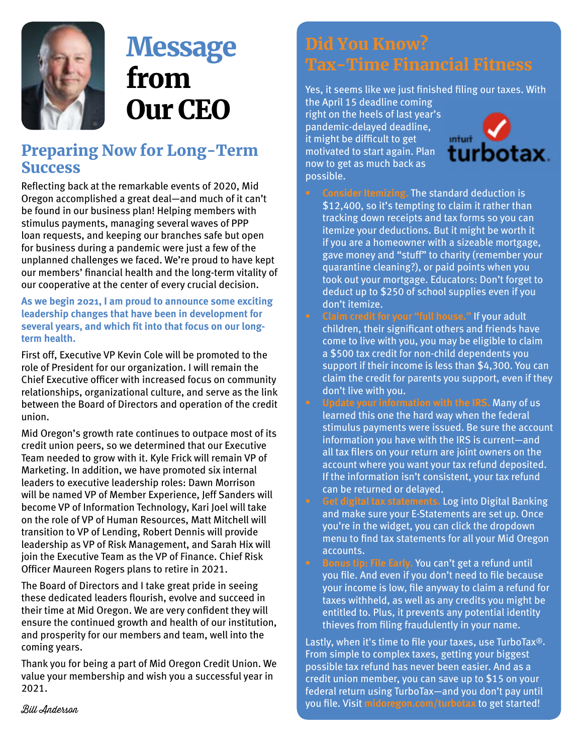

# **Message** from Our CEO

### Preparing Now for Long-Term **Success**

Reflecting back at the remarkable events of 2020, Mid Oregon accomplished a great deal—and much of it can't be found in our business plan! Helping members with stimulus payments, managing several waves of PPP loan requests, and keeping our branches safe but open for business during a pandemic were just a few of the unplanned challenges we faced. We're proud to have kept our members' financial health and the long-term vitality of our cooperative at the center of every crucial decision.

**As we begin 2021, I am proud to announce some exciting leadership changes that have been in development for several years, and which fit into that focus on our longterm health.** 

First off, Executive VP Kevin Cole will be promoted to the role of President for our organization. I will remain the Chief Executive officer with increased focus on community relationships, organizational culture, and serve as the link between the Board of Directors and operation of the credit union.

Mid Oregon's growth rate continues to outpace most of its credit union peers, so we determined that our Executive Team needed to grow with it. Kyle Frick will remain VP of Marketing. In addition, we have promoted six internal leaders to executive leadership roles: Dawn Morrison will be named VP of Member Experience, Jeff Sanders will become VP of Information Technology, Kari Joel will take on the role of VP of Human Resources, Matt Mitchell will transition to VP of Lending, Robert Dennis will provide leadership as VP of Risk Management, and Sarah Hix will join the Executive Team as the VP of Finance. Chief Risk Officer Maureen Rogers plans to retire in 2021.

The Board of Directors and I take great pride in seeing these dedicated leaders flourish, evolve and succeed in their time at Mid Oregon. We are very confident they will ensure the continued growth and health of our institution, and prosperity for our members and team, well into the coming years.

Thank you for being a part of Mid Oregon Credit Union. We value your membership and wish you a successful year in 2021.

# Did You Know? Tax-Time Financial Fitness

Yes, it seems like we just finished filing our taxes. With

the April 15 deadline coming right on the heels of last year's pandemic-delayed deadline, it might be difficult to get motivated to start again. Plan now to get as much back as possible.



**• Consider Itemizing.** The standard deduction is \$12,400, so it's tempting to claim it rather than tracking down receipts and tax forms so you can itemize your deductions. But it might be worth it if you are a homeowner with a sizeable mortgage, gave money and "stuff" to charity (remember your quarantine cleaning?), or paid points when you took out your mortgage. Educators: Don't forget to deduct up to \$250 of school supplies even if you don't itemize.

**• Claim credit for your "full house."** If your adult children, their significant others and friends have come to live with you, you may be eligible to claim a \$500 tax credit for non-child dependents you support if their income is less than \$4,300. You can claim the credit for parents you support, even if they don't live with you.

**• Update your information with the IRS.** Many of us learned this one the hard way when the federal stimulus payments were issued. Be sure the account information you have with the IRS is current—and all tax filers on your return are joint owners on the account where you want your tax refund deposited. If the information isn't consistent, your tax refund can be returned or delayed.

**• Get digital tax statements.** Log into Digital Banking and make sure your E-Statements are set up. Once you're in the widget, you can click the dropdown menu to find tax statements for all your Mid Oregon accounts.

**• Bonus tip: File Early.** You can't get a refund until you file. And even if you don't need to file because your income is low, file anyway to claim a refund for taxes withheld, as well as any credits you might be entitled to. Plus, it prevents any potential identity thieves from filing fraudulently in your name.

Lastly, when it's time to file your taxes, use TurboTax®. From simple to complex taxes, getting your biggest possible tax refund has never been easier. And as a credit union member, you can save up to \$15 on your federal return using TurboTax—and you don't pay until you file. Visit **midoregon.com/turbotax** to get started!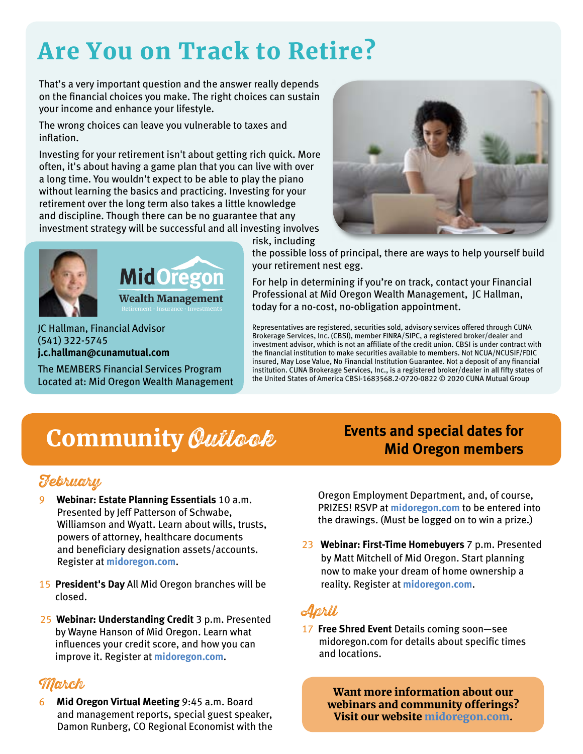# Are You on Track to Retire?

That's a very important question and the answer really depends on the financial choices you make. The right choices can sustain your income and enhance your lifestyle.

The wrong choices can leave you vulnerable to taxes and inflation.

Investing for your retirement isn't about getting rich quick. More often, it's about having a game plan that you can live with over a long time. You wouldn't expect to be able to play the piano without learning the basics and practicing. Investing for your retirement over the long term also takes a little knowledge and discipline. Though there can be no guarantee that any investment strategy will be successful and all investing involves





risk, including



the possible loss of principal, there are ways to help yourself build your retirement nest egg.

For help in determining if you're on track, contact your Financial Professional at Mid Oregon Wealth Management, JC Hallman, today for a no-cost, no-obligation appointment.

Representatives are registered, securities sold, advisory services offered through CUNA Brokerage Services, Inc. (CBSI), member FINRA/SIPC, a registered broker/dealer and investment advisor, which is not an affiliate of the credit union. CBSI is under contract with the financial institution to make securities available to members. Not NCUA/NCUSIF/FDIC insured, May Lose Value, No Financial Institution Guarantee. Not a deposit of any financial institution. CUNA Brokerage Services, Inc., is a registered broker/dealer in all fifty states of the United States of America CBSI-1683568.2-0720-0822 © 2020 CUNA Mutual Group

### JC Hallman, Financial Advisor (541) 322-5745 **j.c.hallman@cunamutual.com**

The MEMBERS Financial Services Program Located at: Mid Oregon Wealth Management

# **Community Outlook** Events and special dates for

### February

- 9 **Webinar: Estate Planning Essentials** 10 a.m. Presented by Jeff Patterson of Schwabe, Williamson and Wyatt. Learn about wills, trusts, powers of attorney, healthcare documents and beneficiary designation assets/accounts. Register at **midoregon.com**.
- 15 **President's Day** All Mid Oregon branches will be closed.
- 25 **Webinar: Understanding Credit** 3 p.m. Presented by Wayne Hanson of Mid Oregon. Learn what influences your credit score, and how you can improve it. Register at **midoregon.com**.

### March

6 **Mid Oregon Virtual Meeting** 9:45 a.m. Board and management reports, special guest speaker, Damon Runberg, CO Regional Economist with the **Mid Oregon members**

Oregon Employment Department, and, of course, PRIZES! RSVP at **midoregon.com** to be entered into the drawings. (Must be logged on to win a prize.)

23 **Webinar: First-Time Homebuyers** 7 p.m. Presented by Matt Mitchell of Mid Oregon. Start planning now to make your dream of home ownership a reality. Register at **midoregon.com**.

### April

17 **Free Shred Event** Details coming soon—see midoregon.com for details about specific times and locations.

> Want more information about our webinars and community offerings? Visit our website midoregon.com.